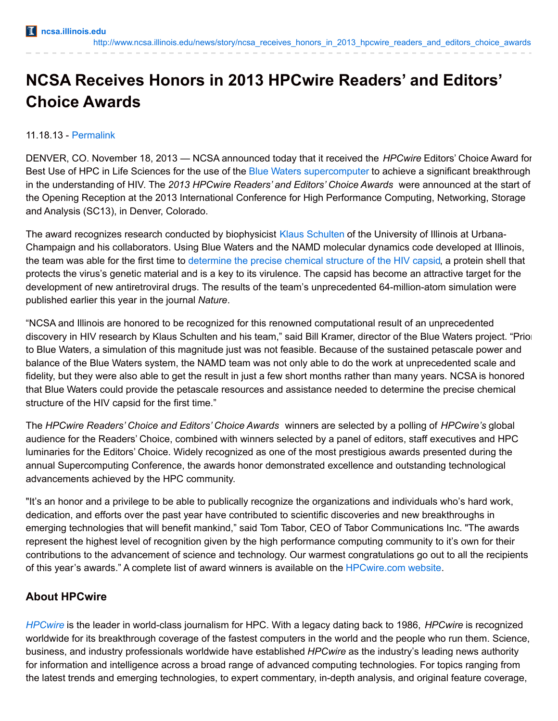# **NCSA Receives Honors in 2013 HPCwire Readers' and Editors' Choice Awards**

#### 11.18.13 - [Permalink](http://www.ncsa.illinois.edu/news/story/ncsa_receives_honors_in_2013_hpcwire_readers_and_editors_choice_awards)

DENVER, CO. November 18, 2013 — NCSA announced today that it received the *HPCwire* Editors' Choice Award for Best Use of HPC in Life Sciences for the use of the Blue Waters [supercomputer](http://www.ncsa.illinois.edu/enabling/bluewaters) to achieve a significant breakthrough in the understanding of HIV. The *2013 HPCwire Readers' and Editors' Choice Awards* were announced at the start of the Opening Reception at the 2013 International Conference for High Performance Computing, Networking, Storage and Analysis (SC13), in Denver, Colorado.

The award recognizes research conducted by biophysicist Klaus [Schulten](http://www.ks.uiuc.edu/) of the University of Illinois at Urbana-Champaign and his collaborators. Using Blue Waters and the NAMD molecular dynamics code developed at Illinois, the team was able for the first time to [determine](http://news.illinois.edu/news/13/0529HIVcapsid_KlausSchulten.html) the precise chemical structure of the HIV capsid, a protein shell that protects the virus's genetic material and is a key to its virulence. The capsid has become an attractive target for the development of new antiretroviral drugs. The results of the team's unprecedented 64-million-atom simulation were published earlier this year in the journal *Nature*.

"NCSA and Illinois are honored to be recognized for this renowned computational result of an unprecedented discovery in HIV research by Klaus Schulten and his team," said Bill Kramer, director of the Blue Waters project. "Prior to Blue Waters, a simulation of this magnitude just was not feasible. Because of the sustained petascale power and balance of the Blue Waters system, the NAMD team was not only able to do the work at unprecedented scale and fidelity, but they were also able to get the result in just a few short months rather than many years. NCSA is honored that Blue Waters could provide the petascale resources and assistance needed to determine the precise chemical structure of the HIV capsid for the first time."

The *HPCwire Readers' Choice and Editors' Choice Awards* winners are selected by a polling of *HPCwire's* global audience for the Readers' Choice, combined with winners selected by a panel of editors, staff executives and HPC luminaries for the Editors' Choice. Widely recognized as one of the most prestigious awards presented during the annual Supercomputing Conference, the awards honor demonstrated excellence and outstanding technological advancements achieved by the HPC community.

"It's an honor and a privilege to be able to publically recognize the organizations and individuals who's hard work, dedication, and efforts over the past year have contributed to scientific discoveries and new breakthroughs in emerging technologies that will benefit mankind," said Tom Tabor, CEO of Tabor Communications Inc. "The awards represent the highest level of recognition given by the high performance computing community to it's own for their contributions to the advancement of science and technology. Our warmest congratulations go out to all the recipients of this year's awards." A complete list of award winners is available on the [HPCwire.com](http://www.hpcwire.com/) website.

## **About HPCwire**

*[HPCwire](http://www.hpcwire.com/)* is the leader in world-class journalism for HPC. With a legacy dating back to 1986, *HPCwire* is recognized worldwide for its breakthrough coverage of the fastest computers in the world and the people who run them. Science, business, and industry professionals worldwide have established *HPCwire* as the industry's leading news authority for information and intelligence across a broad range of advanced computing technologies. For topics ranging from the latest trends and emerging technologies, to expert commentary, in-depth analysis, and original feature coverage,